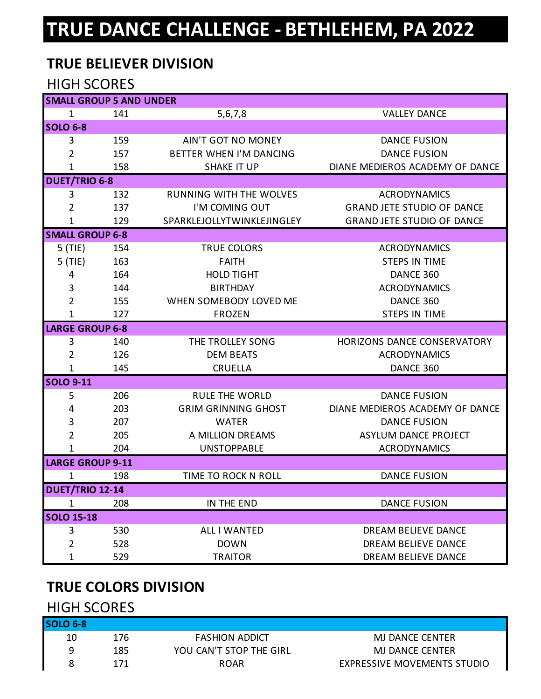# **TRUE DANCE CHALLENGE - BETHLEHEM, PA 2022**

# **TRUE BELIEVER DIVISION**

#### HIGH SCORES

| <b>SMALL GROUP 5 AND UNDER</b> |     |                                |                                   |  |
|--------------------------------|-----|--------------------------------|-----------------------------------|--|
| $\mathbf{1}$                   | 141 | 5,6,7,8                        | <b>VALLEY DANCE</b>               |  |
| SOLO 6-8                       |     |                                |                                   |  |
| 3                              | 159 | <b>AIN'T GOT NO MONEY</b>      | <b>DANCE FUSION</b>               |  |
| $\overline{2}$                 | 157 | BETTER WHEN I'M DANCING        | <b>DANCE FUSION</b>               |  |
| 1                              | 158 | <b>SHAKE IT UP</b>             | DIANE MEDIEROS ACADEMY OF DANCE   |  |
| <b>DUET/TRIO 6-8</b>           |     |                                |                                   |  |
| 3                              | 132 | <b>RUNNING WITH THE WOLVES</b> | <b>ACRODYNAMICS</b>               |  |
| $\overline{2}$                 | 137 | I'M COMING OUT                 | <b>GRAND JETE STUDIO OF DANCE</b> |  |
| $\mathbf{1}$                   | 129 | SPARKLEJOLLYTWINKLEJINGLEY     | <b>GRAND JETE STUDIO OF DANCE</b> |  |
| <b>SMALL GROUP 6-8</b>         |     |                                |                                   |  |
| $5$ (TIE)                      | 154 | <b>TRUE COLORS</b>             | <b>ACRODYNAMICS</b>               |  |
| $5$ (TIE)                      | 163 | <b>FAITH</b>                   | <b>STEPS IN TIME</b>              |  |
| 4                              | 164 | <b>HOLD TIGHT</b>              | DANCE 360                         |  |
| 3                              | 144 | <b>BIRTHDAY</b>                | <b>ACRODYNAMICS</b>               |  |
| $\overline{2}$                 | 155 | WHEN SOMEBODY LOVED ME         | DANCE 360                         |  |
| $\mathbf{1}$                   | 127 | <b>FROZEN</b>                  | <b>STEPS IN TIME</b>              |  |
| <b>LARGE GROUP 6-8</b>         |     |                                |                                   |  |
| 3                              | 140 | THE TROLLEY SONG               | HORIZONS DANCE CONSERVATORY       |  |
| $\overline{2}$                 | 126 | <b>DEM BEATS</b>               | <b>ACRODYNAMICS</b>               |  |
| $\mathbf{1}$                   | 145 | <b>CRUELLA</b>                 | DANCE 360                         |  |
| <b>SOLO 9-11</b>               |     |                                |                                   |  |
| 5                              | 206 | <b>RULE THE WORLD</b>          | <b>DANCE FUSION</b>               |  |
| 4                              | 203 | <b>GRIM GRINNING GHOST</b>     | DIANE MEDIEROS ACADEMY OF DANCE   |  |
| 3                              | 207 | <b>WATER</b>                   | <b>DANCE FUSION</b>               |  |
| $\overline{2}$                 | 205 | A MILLION DREAMS               | ASYLUM DANCE PROJECT              |  |
| 1                              | 204 | <b>UNSTOPPABLE</b>             | <b>ACRODYNAMICS</b>               |  |
| <b>LARGE GROUP 9-11</b>        |     |                                |                                   |  |
| 1                              | 198 | TIME TO ROCK N ROLL            | <b>DANCE FUSION</b>               |  |
| <b>DUET/TRIO 12-14</b>         |     |                                |                                   |  |
| $\mathbf 1$                    | 208 | IN THE END                     | <b>DANCE FUSION</b>               |  |
| <b>SOLO 15-18</b>              |     |                                |                                   |  |
| 3                              | 530 | ALL I WANTED                   | DREAM BELIEVE DANCE               |  |
| $\overline{2}$                 | 528 | <b>DOWN</b>                    | DREAM BELIEVE DANCE               |  |
| 1                              | 529 | <b>TRAITOR</b>                 | DREAM BELIEVE DANCE               |  |

# **TRUE COLORS DIVISION**

#### HIGH SCORES

| ISOLO 6-81 |     |                         |                             |
|------------|-----|-------------------------|-----------------------------|
| 10         | 176 | <b>FASHION ADDICT</b>   | MJ DANCE CENTER             |
| a          | 185 | YOU CAN'T STOP THE GIRL | MJ DANCE CENTER             |
|            |     | <b>ROAR</b>             | EXPRESSIVE MOVEMENTS STUDIO |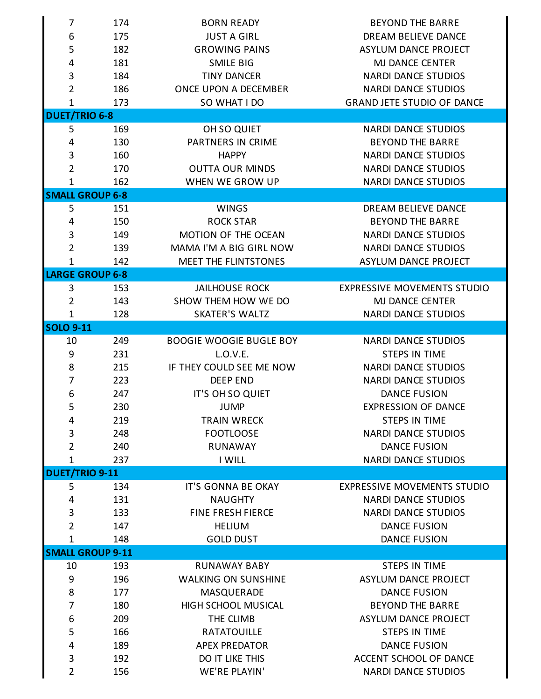| 7                       | 174 | <b>BORN READY</b>              | <b>BEYOND THE BARRE</b>            |
|-------------------------|-----|--------------------------------|------------------------------------|
| 6                       | 175 | <b>JUST A GIRL</b>             | DREAM BELIEVE DANCE                |
| 5                       | 182 | <b>GROWING PAINS</b>           | <b>ASYLUM DANCE PROJECT</b>        |
| 4                       | 181 | <b>SMILE BIG</b>               | MJ DANCE CENTER                    |
| $\mathbf{3}$            | 184 | <b>TINY DANCER</b>             | <b>NARDI DANCE STUDIOS</b>         |
| $\overline{2}$          | 186 | ONCE UPON A DECEMBER           | <b>NARDI DANCE STUDIOS</b>         |
| $\mathbf{1}$            | 173 | SO WHAT I DO                   | <b>GRAND JETE STUDIO OF DANCE</b>  |
| <b>DUET/TRIO 6-8</b>    |     |                                |                                    |
| 5                       | 169 | OH SO QUIET                    | <b>NARDI DANCE STUDIOS</b>         |
| 4                       | 130 | PARTNERS IN CRIME              | <b>BEYOND THE BARRE</b>            |
| $\mathbf{3}$            | 160 | <b>HAPPY</b>                   | <b>NARDI DANCE STUDIOS</b>         |
| $\overline{2}$          | 170 | <b>OUTTA OUR MINDS</b>         | <b>NARDI DANCE STUDIOS</b>         |
| $\mathbf{1}$            | 162 | WHEN WE GROW UP                | <b>NARDI DANCE STUDIOS</b>         |
| <b>SMALL GROUP 6-8</b>  |     |                                |                                    |
| 5                       | 151 | <b>WINGS</b>                   | DREAM BELIEVE DANCE                |
|                         |     |                                |                                    |
| 4                       | 150 | <b>ROCK STAR</b>               | <b>BEYOND THE BARRE</b>            |
| 3                       | 149 | MOTION OF THE OCEAN            | <b>NARDI DANCE STUDIOS</b>         |
| $\overline{2}$          | 139 | MAMA I'M A BIG GIRL NOW        | <b>NARDI DANCE STUDIOS</b>         |
| 1                       | 142 | MEET THE FLINTSTONES           | <b>ASYLUM DANCE PROJECT</b>        |
| <b>LARGE GROUP 6-8</b>  |     |                                |                                    |
| 3                       | 153 | <b>JAILHOUSE ROCK</b>          | <b>EXPRESSIVE MOVEMENTS STUDIO</b> |
| $\overline{2}$          | 143 | SHOW THEM HOW WE DO            | MJ DANCE CENTER                    |
| $\mathbf{1}$            | 128 | <b>SKATER'S WALTZ</b>          | <b>NARDI DANCE STUDIOS</b>         |
| <b>SOLO 9-11</b>        |     |                                |                                    |
| 10                      | 249 | <b>BOOGIE WOOGIE BUGLE BOY</b> | <b>NARDI DANCE STUDIOS</b>         |
| 9                       | 231 | L.O.V.E.                       | <b>STEPS IN TIME</b>               |
| 8                       | 215 | IF THEY COULD SEE ME NOW       | <b>NARDI DANCE STUDIOS</b>         |
| 7                       | 223 | <b>DEEP END</b>                | <b>NARDI DANCE STUDIOS</b>         |
| 6                       | 247 | IT'S OH SO QUIET               | <b>DANCE FUSION</b>                |
| 5                       | 230 | <b>JUMP</b>                    | <b>EXPRESSION OF DANCE</b>         |
| 4                       | 219 | <b>TRAIN WRECK</b>             | <b>STEPS IN TIME</b>               |
| $\mathsf 3$             | 248 | <b>FOOTLOOSE</b>               | <b>NARDI DANCE STUDIOS</b>         |
| $\overline{2}$          | 240 | <b>RUNAWAY</b>                 | <b>DANCE FUSION</b>                |
| $\mathbf{1}$            | 237 | I WILL                         | <b>NARDI DANCE STUDIOS</b>         |
| <b>DUET/TRIO 9-11</b>   |     |                                |                                    |
| 5                       | 134 | IT'S GONNA BE OKAY             | <b>EXPRESSIVE MOVEMENTS STUDIO</b> |
| 4                       | 131 | <b>NAUGHTY</b>                 | <b>NARDI DANCE STUDIOS</b>         |
| 3                       | 133 | <b>FINE FRESH FIERCE</b>       | <b>NARDI DANCE STUDIOS</b>         |
| $\overline{2}$          | 147 | <b>HELIUM</b>                  | <b>DANCE FUSION</b>                |
| $\mathbf{1}$            | 148 | <b>GOLD DUST</b>               | <b>DANCE FUSION</b>                |
| <b>SMALL GROUP 9-11</b> |     |                                |                                    |
| 10                      | 193 | <b>RUNAWAY BABY</b>            | <b>STEPS IN TIME</b>               |
| 9                       | 196 | <b>WALKING ON SUNSHINE</b>     | ASYLUM DANCE PROJECT               |
| 8                       | 177 | MASQUERADE                     | <b>DANCE FUSION</b>                |
| 7                       | 180 | HIGH SCHOOL MUSICAL            | <b>BEYOND THE BARRE</b>            |
| 6                       | 209 | THE CLIMB                      | ASYLUM DANCE PROJECT               |
| 5                       | 166 | <b>RATATOUILLE</b>             | <b>STEPS IN TIME</b>               |
| 4                       | 189 | <b>APEX PREDATOR</b>           | <b>DANCE FUSION</b>                |
| $\mathsf 3$             | 192 | DO IT LIKE THIS                | ACCENT SCHOOL OF DANCE             |
| $\overline{2}$          |     |                                |                                    |
|                         | 156 | WE'RE PLAYIN'                  | <b>NARDI DANCE STUDIOS</b>         |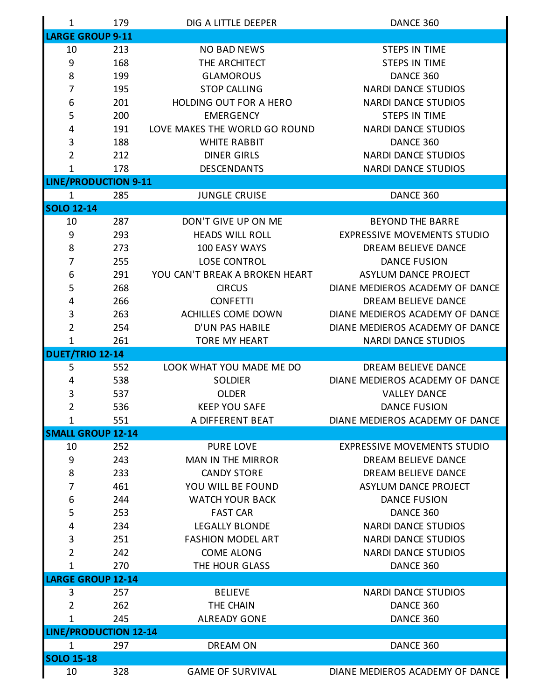| $\mathbf 1$                  | 179 | DIG A LITTLE DEEPER            | DANCE 360                          |
|------------------------------|-----|--------------------------------|------------------------------------|
| <b>LARGE GROUP 9-11</b>      |     |                                |                                    |
| 10                           | 213 | <b>NO BAD NEWS</b>             | <b>STEPS IN TIME</b>               |
| 9                            | 168 | THE ARCHITECT                  | <b>STEPS IN TIME</b>               |
| 8                            | 199 | <b>GLAMOROUS</b>               | DANCE 360                          |
| $\overline{7}$               | 195 | <b>STOP CALLING</b>            | <b>NARDI DANCE STUDIOS</b>         |
| 6                            | 201 | <b>HOLDING OUT FOR A HERO</b>  | <b>NARDI DANCE STUDIOS</b>         |
| 5                            | 200 | <b>EMERGENCY</b>               | <b>STEPS IN TIME</b>               |
| 4                            | 191 | LOVE MAKES THE WORLD GO ROUND  | <b>NARDI DANCE STUDIOS</b>         |
| 3                            | 188 | <b>WHITE RABBIT</b>            | DANCE 360                          |
| $\overline{2}$               | 212 | <b>DINER GIRLS</b>             | <b>NARDI DANCE STUDIOS</b>         |
| 1                            | 178 | <b>DESCENDANTS</b>             | <b>NARDI DANCE STUDIOS</b>         |
| <b>LINE/PRODUCTION 9-11</b>  |     |                                |                                    |
| $\mathbf{1}$                 | 285 | <b>JUNGLE CRUISE</b>           | DANCE 360                          |
| <b>SOLO 12-14</b>            |     |                                |                                    |
| 10                           | 287 | DON'T GIVE UP ON ME            | <b>BEYOND THE BARRE</b>            |
| 9                            | 293 | <b>HEADS WILL ROLL</b>         | <b>EXPRESSIVE MOVEMENTS STUDIO</b> |
| 8                            | 273 | 100 EASY WAYS                  | DREAM BELIEVE DANCE                |
| 7                            | 255 | <b>LOSE CONTROL</b>            | <b>DANCE FUSION</b>                |
| 6                            | 291 | YOU CAN'T BREAK A BROKEN HEART | ASYLUM DANCE PROJECT               |
| 5                            | 268 | <b>CIRCUS</b>                  | DIANE MEDIEROS ACADEMY OF DANCE    |
| 4                            | 266 | <b>CONFETTI</b>                | DREAM BELIEVE DANCE                |
| 3                            | 263 | ACHILLES COME DOWN             | DIANE MEDIEROS ACADEMY OF DANCE    |
| $\overline{2}$               | 254 | D'UN PAS HABILE                | DIANE MEDIEROS ACADEMY OF DANCE    |
| 1                            | 261 | <b>TORE MY HEART</b>           | <b>NARDI DANCE STUDIOS</b>         |
| <b>DUET/TRIO 12-14</b>       |     |                                |                                    |
| 5                            | 552 | LOOK WHAT YOU MADE ME DO       | DREAM BELIEVE DANCE                |
| 4                            | 538 | <b>SOLDIER</b>                 | DIANE MEDIEROS ACADEMY OF DANCE    |
| 3                            | 537 | <b>OLDER</b>                   | <b>VALLEY DANCE</b>                |
| $\overline{2}$               | 536 | <b>KEEP YOU SAFE</b>           | <b>DANCE FUSION</b>                |
| $\mathbf{1}$                 | 551 | A DIFFERENT BEAT               | DIANE MEDIEROS ACADEMY OF DANCE    |
| <b>SMALL GROUP 12-14</b>     |     |                                |                                    |
| 10                           | 252 | <b>PURE LOVE</b>               | <b>EXPRESSIVE MOVEMENTS STUDIO</b> |
| 9                            | 243 | <b>MAN IN THE MIRROR</b>       | DREAM BELIEVE DANCE                |
| 8                            | 233 | <b>CANDY STORE</b>             | DREAM BELIEVE DANCE                |
| 7                            | 461 | YOU WILL BE FOUND              | ASYLUM DANCE PROJECT               |
| 6                            | 244 | <b>WATCH YOUR BACK</b>         | <b>DANCE FUSION</b>                |
| 5                            | 253 | <b>FAST CAR</b>                | DANCE 360                          |
| 4                            | 234 | <b>LEGALLY BLONDE</b>          | <b>NARDI DANCE STUDIOS</b>         |
| 3                            | 251 | <b>FASHION MODEL ART</b>       | <b>NARDI DANCE STUDIOS</b>         |
| $\overline{2}$               | 242 | <b>COME ALONG</b>              | <b>NARDI DANCE STUDIOS</b>         |
| 1                            | 270 | THE HOUR GLASS                 | DANCE 360                          |
| <b>LARGE GROUP 12-14</b>     |     |                                |                                    |
| 3                            | 257 | <b>BELIEVE</b>                 | <b>NARDI DANCE STUDIOS</b>         |
| $\overline{2}$               | 262 | THE CHAIN                      | DANCE 360                          |
| 1                            | 245 | <b>ALREADY GONE</b>            | DANCE 360                          |
| <b>LINE/PRODUCTION 12-14</b> |     |                                |                                    |
| $\mathbf{1}$                 | 297 | DREAM ON                       | DANCE 360                          |
| <b>SOLO 15-18</b>            |     |                                |                                    |
| 10                           | 328 | <b>GAME OF SURVIVAL</b>        | DIANE MEDIEROS ACADEMY OF DANCE    |
|                              |     |                                |                                    |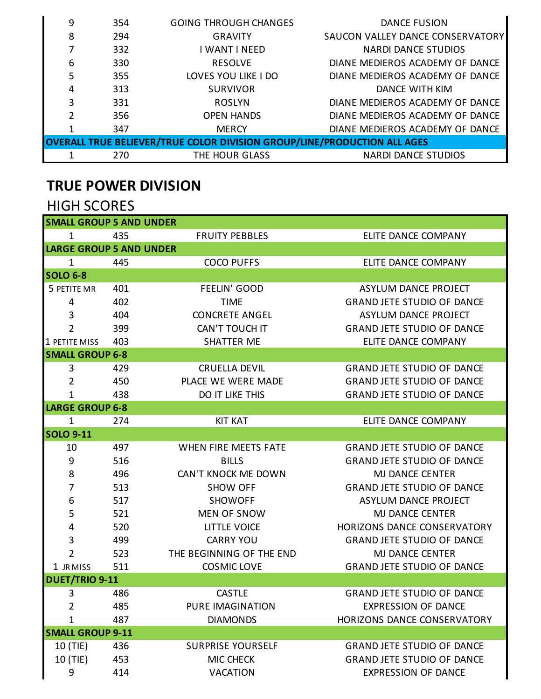| 9 | 354                                                                      | <b>GOING THROUGH CHANGES</b> | <b>DANCE FUSION</b>              |  |  |
|---|--------------------------------------------------------------------------|------------------------------|----------------------------------|--|--|
| 8 | 294                                                                      | <b>GRAVITY</b>               | SAUCON VALLEY DANCE CONSERVATORY |  |  |
| 7 | 332                                                                      | I WANT I NEED                | <b>NARDI DANCE STUDIOS</b>       |  |  |
| 6 | 330                                                                      | <b>RESOLVE</b>               | DIANE MEDIEROS ACADEMY OF DANCE  |  |  |
| 5 | 355                                                                      | LOVES YOU LIKE I DO          | DIANE MEDIEROS ACADEMY OF DANCE  |  |  |
| 4 | 313                                                                      | <b>SURVIVOR</b>              | DANCE WITH KIM                   |  |  |
| 3 | 331                                                                      | <b>ROSLYN</b>                | DIANE MEDIEROS ACADEMY OF DANCE  |  |  |
| 2 | 356                                                                      | <b>OPEN HANDS</b>            | DIANE MEDIEROS ACADEMY OF DANCE  |  |  |
|   | 347                                                                      | <b>MERCY</b>                 | DIANE MEDIEROS ACADEMY OF DANCE  |  |  |
|   | OVERALL TRUE BELIEVER/TRUE COLOR DIVISION GROUP/LINE/PRODUCTION ALL AGES |                              |                                  |  |  |
|   | 270                                                                      | THE HOUR GLASS               | <b>NARDI DANCE STUDIOS</b>       |  |  |

# **TRUE POWER DIVISION**

#### HIGH SCORES

| <b>SMALL GROUP 5 AND UNDER</b> |     |                          |                                   |
|--------------------------------|-----|--------------------------|-----------------------------------|
| $\mathbf 1$                    | 435 | <b>FRUITY PEBBLES</b>    | ELITE DANCE COMPANY               |
| <b>LARGE GROUP 5 AND UNDER</b> |     |                          |                                   |
| $\mathbf{1}$                   | 445 | <b>COCO PUFFS</b>        | ELITE DANCE COMPANY               |
| <b>SOLO 6-8</b>                |     |                          |                                   |
| 5 PETITE MR                    | 401 | <b>FEELIN' GOOD</b>      | ASYLUM DANCE PROJECT              |
| 4                              | 402 | <b>TIME</b>              | <b>GRAND JETE STUDIO OF DANCE</b> |
| 3                              | 404 | <b>CONCRETE ANGEL</b>    | ASYLUM DANCE PROJECT              |
| $\overline{2}$                 | 399 | CAN'T TOUCH IT           | <b>GRAND JETE STUDIO OF DANCE</b> |
| 1 PETITE MISS                  | 403 | <b>SHATTER ME</b>        | ELITE DANCE COMPANY               |
| <b>SMALL GROUP 6-8</b>         |     |                          |                                   |
| 3                              | 429 | <b>CRUELLA DEVIL</b>     | <b>GRAND JETE STUDIO OF DANCE</b> |
| $\overline{2}$                 | 450 | PLACE WE WERE MADE       | <b>GRAND JETE STUDIO OF DANCE</b> |
| 1                              | 438 | <b>DO IT LIKE THIS</b>   | <b>GRAND JETE STUDIO OF DANCE</b> |
| <b>LARGE GROUP 6-8</b>         |     |                          |                                   |
| $\mathbf 1$                    | 274 | <b>KIT KAT</b>           | ELITE DANCE COMPANY               |
| <b>SOLO 9-11</b>               |     |                          |                                   |
| 10                             | 497 | WHEN FIRE MEETS FATE     | <b>GRAND JETE STUDIO OF DANCE</b> |
| 9                              | 516 | <b>BILLS</b>             | <b>GRAND JETE STUDIO OF DANCE</b> |
| 8                              | 496 | CAN'T KNOCK ME DOWN      | <b>MJ DANCE CENTER</b>            |
| $\overline{7}$                 | 513 | <b>SHOW OFF</b>          | <b>GRAND JETE STUDIO OF DANCE</b> |
| 6                              | 517 | <b>SHOWOFF</b>           | ASYLUM DANCE PROJECT              |
| 5                              | 521 | <b>MEN OF SNOW</b>       | <b>MJ DANCE CENTER</b>            |
| 4                              | 520 | <b>LITTLE VOICE</b>      | HORIZONS DANCE CONSERVATORY       |
| 3                              | 499 | <b>CARRY YOU</b>         | <b>GRAND JETE STUDIO OF DANCE</b> |
| $\overline{2}$                 | 523 | THE BEGINNING OF THE END | <b>MJ DANCE CENTER</b>            |
| 1 JR MISS                      | 511 | <b>COSMIC LOVE</b>       | <b>GRAND JETE STUDIO OF DANCE</b> |
| <b>DUET/TRIO 9-11</b>          |     |                          |                                   |
| 3                              | 486 | <b>CASTLE</b>            | <b>GRAND JETE STUDIO OF DANCE</b> |
| $\overline{2}$                 | 485 | <b>PURE IMAGINATION</b>  | <b>EXPRESSION OF DANCE</b>        |
| 1                              | 487 | <b>DIAMONDS</b>          | HORIZONS DANCE CONSERVATORY       |
| <b>SMALL GROUP 9-11</b>        |     |                          |                                   |
| 10 (TIE)                       | 436 | <b>SURPRISE YOURSELF</b> | <b>GRAND JETE STUDIO OF DANCE</b> |
| 10 (TIE)                       | 453 | <b>MIC CHECK</b>         | <b>GRAND JETE STUDIO OF DANCE</b> |
| 9                              | 414 | <b>VACATION</b>          | <b>EXPRESSION OF DANCE</b>        |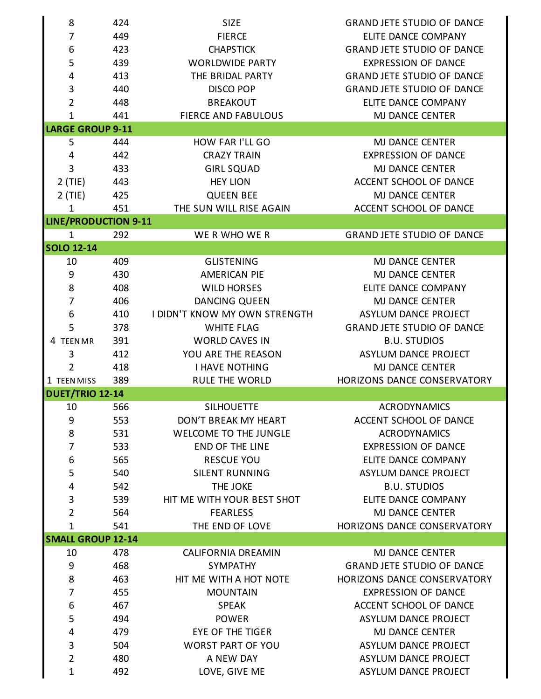| 8                           | 424 | <b>SIZE</b>                   | <b>GRAND JETE STUDIO OF DANCE</b> |
|-----------------------------|-----|-------------------------------|-----------------------------------|
| 7                           | 449 | <b>FIERCE</b>                 | ELITE DANCE COMPANY               |
| 6                           | 423 | <b>CHAPSTICK</b>              | <b>GRAND JETE STUDIO OF DANCE</b> |
| 5                           | 439 | <b>WORLDWIDE PARTY</b>        | <b>EXPRESSION OF DANCE</b>        |
| 4                           | 413 | THE BRIDAL PARTY              | <b>GRAND JETE STUDIO OF DANCE</b> |
| $\mathsf 3$                 | 440 | <b>DISCO POP</b>              | <b>GRAND JETE STUDIO OF DANCE</b> |
| $\overline{2}$              | 448 | <b>BREAKOUT</b>               | ELITE DANCE COMPANY               |
| $\mathbf{1}$                | 441 | <b>FIERCE AND FABULOUS</b>    | <b>MJ DANCE CENTER</b>            |
| <b>LARGE GROUP 9-11</b>     |     |                               |                                   |
| 5                           | 444 | HOW FAR I'LL GO               | <b>MJ DANCE CENTER</b>            |
| 4                           | 442 | <b>CRAZY TRAIN</b>            | <b>EXPRESSION OF DANCE</b>        |
| 3                           | 433 | <b>GIRL SQUAD</b>             | <b>MJ DANCE CENTER</b>            |
| $2$ (TIE)                   | 443 | <b>HEY LION</b>               | ACCENT SCHOOL OF DANCE            |
| $2$ (TIE)                   | 425 | <b>QUEEN BEE</b>              | MJ DANCE CENTER                   |
| $\mathbf 1$                 | 451 | THE SUN WILL RISE AGAIN       | ACCENT SCHOOL OF DANCE            |
| <b>LINE/PRODUCTION 9-11</b> |     |                               |                                   |
| $\mathbf{1}$                | 292 | WE R WHO WE R                 | <b>GRAND JETE STUDIO OF DANCE</b> |
| <b>SOLO 12-14</b>           |     |                               |                                   |
| 10                          | 409 | <b>GLISTENING</b>             | <b>MJ DANCE CENTER</b>            |
| 9                           | 430 | <b>AMERICAN PIE</b>           | <b>MJ DANCE CENTER</b>            |
| 8                           | 408 | <b>WILD HORSES</b>            | ELITE DANCE COMPANY               |
| 7                           | 406 | DANCING QUEEN                 | MJ DANCE CENTER                   |
| 6                           | 410 | I DIDN'T KNOW MY OWN STRENGTH | ASYLUM DANCE PROJECT              |
| 5                           | 378 | <b>WHITE FLAG</b>             | <b>GRAND JETE STUDIO OF DANCE</b> |
| 4 TEENMR                    | 391 | <b>WORLD CAVES IN</b>         | <b>B.U. STUDIOS</b>               |
| 3                           | 412 | YOU ARE THE REASON            | ASYLUM DANCE PROJECT              |
| 2                           | 418 | <b>I HAVE NOTHING</b>         | MJ DANCE CENTER                   |
| 1 TEEN MISS                 | 389 | <b>RULE THE WORLD</b>         | HORIZONS DANCE CONSERVATORY       |
| <b>DUET/TRIO 12-14</b>      |     |                               |                                   |
| 10                          | 566 | <b>SILHOUETTE</b>             | <b>ACRODYNAMICS</b>               |
| 9                           | 553 | DON'T BREAK MY HEART          | ACCENT SCHOOL OF DANCE            |
| 8                           | 531 | <b>WELCOME TO THE JUNGLE</b>  | <b>ACRODYNAMICS</b>               |
| $\overline{7}$              | 533 | <b>END OF THE LINE</b>        | <b>EXPRESSION OF DANCE</b>        |
| 6                           | 565 | <b>RESCUE YOU</b>             | ELITE DANCE COMPANY               |
| 5                           | 540 | <b>SILENT RUNNING</b>         | ASYLUM DANCE PROJECT              |
| 4                           | 542 | THE JOKE                      | <b>B.U. STUDIOS</b>               |
| 3                           | 539 | HIT ME WITH YOUR BEST SHOT    | ELITE DANCE COMPANY               |
| $\overline{2}$              | 564 | <b>FEARLESS</b>               | <b>MJ DANCE CENTER</b>            |
| $\mathbf{1}$                | 541 | THE END OF LOVE               | HORIZONS DANCE CONSERVATORY       |
| <b>SMALL GROUP 12-14</b>    |     |                               |                                   |
| 10                          | 478 | <b>CALIFORNIA DREAMIN</b>     | <b>MJ DANCE CENTER</b>            |
| 9                           | 468 | <b>SYMPATHY</b>               | <b>GRAND JETE STUDIO OF DANCE</b> |
| 8                           | 463 | HIT ME WITH A HOT NOTE        | HORIZONS DANCE CONSERVATORY       |
| 7                           | 455 | <b>MOUNTAIN</b>               | <b>EXPRESSION OF DANCE</b>        |
| 6                           | 467 | <b>SPEAK</b>                  | ACCENT SCHOOL OF DANCE            |
| 5                           | 494 | <b>POWER</b>                  | ASYLUM DANCE PROJECT              |
| 4                           | 479 | <b>EYE OF THE TIGER</b>       | <b>MJ DANCE CENTER</b>            |
| $\mathbf{3}$                | 504 | <b>WORST PART OF YOU</b>      | ASYLUM DANCE PROJECT              |
| $\overline{2}$              | 480 | A NEW DAY                     | ASYLUM DANCE PROJECT              |
| $\mathbf{1}$                | 492 | LOVE, GIVE ME                 | ASYLUM DANCE PROJECT              |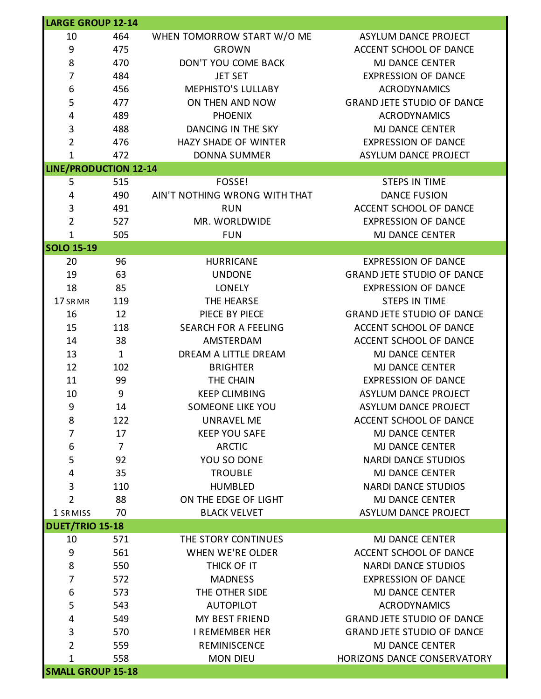| <b>LARGE GROUP 12-14</b>     |                |                               |                                   |
|------------------------------|----------------|-------------------------------|-----------------------------------|
| 10                           | 464            | WHEN TOMORROW START W/O ME    | ASYLUM DANCE PROJECT              |
| 9                            | 475            | <b>GROWN</b>                  | ACCENT SCHOOL OF DANCE            |
| 8                            | 470            | DON'T YOU COME BACK           | MJ DANCE CENTER                   |
| 7                            | 484            | <b>JET SET</b>                | <b>EXPRESSION OF DANCE</b>        |
| 6                            | 456            | <b>MEPHISTO'S LULLABY</b>     | <b>ACRODYNAMICS</b>               |
| 5                            | 477            | ON THEN AND NOW               | <b>GRAND JETE STUDIO OF DANCE</b> |
| 4                            | 489            | <b>PHOENIX</b>                | <b>ACRODYNAMICS</b>               |
| $\ensuremath{\mathsf{3}}$    | 488            | DANCING IN THE SKY            | MJ DANCE CENTER                   |
| $\overline{2}$               | 476            | HAZY SHADE OF WINTER          | <b>EXPRESSION OF DANCE</b>        |
| $\mathbf{1}$                 | 472            | <b>DONNA SUMMER</b>           | ASYLUM DANCE PROJECT              |
| <b>LINE/PRODUCTION 12-14</b> |                |                               |                                   |
| 5                            | 515            | FOSSE!                        | <b>STEPS IN TIME</b>              |
| 4                            | 490            | AIN'T NOTHING WRONG WITH THAT | <b>DANCE FUSION</b>               |
| $\mathbf{3}$                 | 491            | <b>RUN</b>                    | ACCENT SCHOOL OF DANCE            |
| $\overline{2}$               | 527            | MR. WORLDWIDE                 | <b>EXPRESSION OF DANCE</b>        |
| $\mathbf{1}$                 | 505            | <b>FUN</b>                    | MJ DANCE CENTER                   |
| <b>SOLO 15-19</b>            |                |                               |                                   |
| 20                           | 96             | <b>HURRICANE</b>              | <b>EXPRESSION OF DANCE</b>        |
| 19                           | 63             | <b>UNDONE</b>                 | <b>GRAND JETE STUDIO OF DANCE</b> |
| 18                           | 85             | <b>LONELY</b>                 | <b>EXPRESSION OF DANCE</b>        |
| 17 SRMR                      | 119            | THE HEARSE                    | <b>STEPS IN TIME</b>              |
| 16                           | 12             | PIECE BY PIECE                | <b>GRAND JETE STUDIO OF DANCE</b> |
| 15                           | 118            | <b>SEARCH FOR A FEELING</b>   | ACCENT SCHOOL OF DANCE            |
| 14                           | 38             | AMSTERDAM                     | ACCENT SCHOOL OF DANCE            |
| 13                           | $\mathbf{1}$   | DREAM A LITTLE DREAM          | MJ DANCE CENTER                   |
| 12                           | 102            | <b>BRIGHTER</b>               | MJ DANCE CENTER                   |
| 11                           | 99             | THE CHAIN                     | <b>EXPRESSION OF DANCE</b>        |
| 10                           | 9              | <b>KEEP CLIMBING</b>          | ASYLUM DANCE PROJECT              |
| $\boldsymbol{9}$             | 14             | <b>SOMEONE LIKE YOU</b>       | ASYLUM DANCE PROJECT              |
| 8                            | 122            | <b>UNRAVEL ME</b>             | ACCENT SCHOOL OF DANCE            |
| 7                            | 17             | <b>KEEP YOU SAFE</b>          | MJ DANCE CENTER                   |
| 6                            | $\overline{7}$ | <b>ARCTIC</b>                 | MJ DANCE CENTER                   |
| 5                            | 92             | YOU SO DONE                   | <b>NARDI DANCE STUDIOS</b>        |
| 4                            | 35             | <b>TROUBLE</b>                | <b>MJ DANCE CENTER</b>            |
| $\mathbf{3}$                 | 110            | <b>HUMBLED</b>                | <b>NARDI DANCE STUDIOS</b>        |
| $\overline{2}$               | 88             | ON THE EDGE OF LIGHT          | <b>MJ DANCE CENTER</b>            |
| 1 SRMISS                     | 70             | <b>BLACK VELVET</b>           | <b>ASYLUM DANCE PROJECT</b>       |
| <b>DUET/TRIO 15-18</b>       |                |                               |                                   |
| 10                           | 571            | THE STORY CONTINUES           | <b>MJ DANCE CENTER</b>            |
| 9                            | 561            | WHEN WE'RE OLDER              | ACCENT SCHOOL OF DANCE            |
| 8                            | 550            | THICK OF IT                   | <b>NARDI DANCE STUDIOS</b>        |
| 7                            | 572            | <b>MADNESS</b>                | <b>EXPRESSION OF DANCE</b>        |
| 6                            | 573            | THE OTHER SIDE                | MJ DANCE CENTER                   |
| 5                            | 543            | <b>AUTOPILOT</b>              | <b>ACRODYNAMICS</b>               |
| 4                            | 549            | MY BEST FRIEND                | <b>GRAND JETE STUDIO OF DANCE</b> |
| $\mathbf{3}$                 | 570            | <b>I REMEMBER HER</b>         | <b>GRAND JETE STUDIO OF DANCE</b> |
| 2                            | 559            | REMINISCENCE                  | MJ DANCE CENTER                   |
| 1                            | 558            | <b>MON DIEU</b>               | HORIZONS DANCE CONSERVATORY       |
| <b>SMALL GROUP 15-18</b>     |                |                               |                                   |